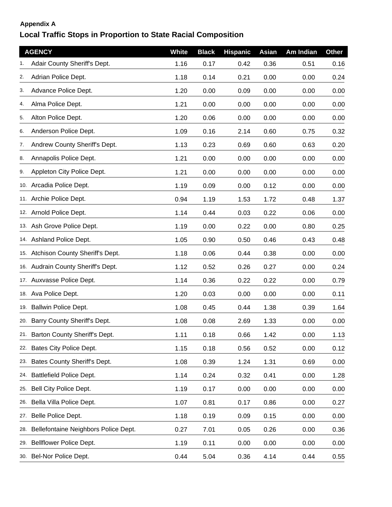## **Appendix A**

## **Local Traffic Stops in Proportion to State Racial Composition**

|     | <b>AGENCY</b>                        | White | <b>Black</b> | <b>Hispanic</b> | <b>Asian</b> | Am Indian | <b>Other</b> |
|-----|--------------------------------------|-------|--------------|-----------------|--------------|-----------|--------------|
|     | Adair County Sheriff's Dept.         | 1.16  | 0.17         | 0.42            | 0.36         | 0.51      | 0.16         |
| 2.  | Adrian Police Dept.                  | 1.18  | 0.14         | 0.21            | 0.00         | 0.00      | 0.24         |
| 3.  | Advance Police Dept.                 | 1.20  | 0.00         | 0.09            | 0.00         | 0.00      | 0.00         |
| 4.  | Alma Police Dept.                    | 1.21  | 0.00         | 0.00            | 0.00         | 0.00      | 0.00         |
| 5.  | Alton Police Dept.                   | 1.20  | 0.06         | 0.00            | 0.00         | 0.00      | 0.00         |
| 6.  | Anderson Police Dept.                | 1.09  | 0.16         | 2.14            | 0.60         | 0.75      | 0.32         |
| 7.  | Andrew County Sheriff's Dept.        | 1.13  | 0.23         | 0.69            | 0.60         | 0.63      | 0.20         |
| 8.  | Annapolis Police Dept.               | 1.21  | 0.00         | 0.00            | 0.00         | 0.00      | 0.00         |
| 9.  | Appleton City Police Dept.           | 1.21  | 0.00         | 0.00            | 0.00         | 0.00      | 0.00         |
|     | 10. Arcadia Police Dept.             | 1.19  | 0.09         | 0.00            | 0.12         | 0.00      | 0.00         |
|     | 11. Archie Police Dept.              | 0.94  | 1.19         | 1.53            | 1.72         | 0.48      | 1.37         |
|     | 12. Arnold Police Dept.              | 1.14  | 0.44         | 0.03            | 0.22         | 0.06      | 0.00         |
|     | 13. Ash Grove Police Dept.           | 1.19  | 0.00         | 0.22            | 0.00         | 0.80      | 0.25         |
|     | 14. Ashland Police Dept.             | 1.05  | 0.90         | 0.50            | 0.46         | 0.43      | 0.48         |
|     | 15. Atchison County Sheriff's Dept.  | 1.18  | 0.06         | 0.44            | 0.38         | 0.00      | 0.00         |
|     | 16. Audrain County Sheriff's Dept.   | 1.12  | 0.52         | 0.26            | 0.27         | 0.00      | 0.24         |
|     | 17. Auxvasse Police Dept.            | 1.14  | 0.36         | 0.22            | 0.22         | 0.00      | 0.79         |
|     | 18. Ava Police Dept.                 | 1.20  | 0.03         | 0.00            | 0.00         | 0.00      | 0.11         |
|     | 19. Ballwin Police Dept.             | 1.08  | 0.45         | 0.44            | 1.38         | 0.39      | 1.64         |
|     | 20. Barry County Sheriff's Dept.     | 1.08  | 0.08         | 2.69            | 1.33         | 0.00      | 0.00         |
|     | 21. Barton County Sheriff's Dept.    | 1.11  | 0.18         | 0.66            | 1.42         | 0.00      | 1.13         |
|     | 22. Bates City Police Dept.          | 1.15  | 0.18         | 0.56            | 0.52         | 0.00      | 0.12         |
| 23. | Bates County Sheriff's Dept.         | 1.08  | 0.39         | 1.24            | 1.31         | 0.69      | 0.00         |
|     | 24. Battlefield Police Dept.         | 1.14  | 0.24         | 0.32            | 0.41         | 0.00      | 1.28         |
|     | 25. Bell City Police Dept.           | 1.19  | 0.17         | 0.00            | 0.00         | 0.00      | 0.00         |
|     | 26. Bella Villa Police Dept.         | 1.07  | 0.81         | 0.17            | 0.86         | 0.00      | 0.27         |
|     | 27. Belle Police Dept.               | 1.18  | 0.19         | 0.09            | 0.15         | 0.00      | 0.00         |
| 28. | Bellefontaine Neighbors Police Dept. | 0.27  | 7.01         | 0.05            | 0.26         | 0.00      | 0.36         |
| 29. | Bellflower Police Dept.              | 1.19  | 0.11         | 0.00            | 0.00         | 0.00      | 0.00         |
|     | 30. Bel-Nor Police Dept.             | 0.44  | 5.04         | 0.36            | 4.14         | 0.44      | 0.55         |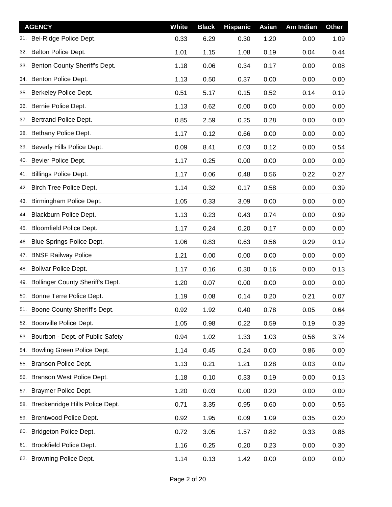| <b>AGENCY</b>                           | <b>White</b> | <b>Black</b> | <b>Hispanic</b> | Asian | Am Indian | <b>Other</b> |
|-----------------------------------------|--------------|--------------|-----------------|-------|-----------|--------------|
| Bel-Ridge Police Dept.                  | 0.33         | 6.29         | 0.30            | 1.20  | 0.00      | 1.09         |
| Belton Police Dept.<br>32.              | 1.01         | 1.15         | 1.08            | 0.19  | 0.04      | 0.44         |
| 33. Benton County Sheriff's Dept.       | 1.18         | 0.06         | 0.34            | 0.17  | 0.00      | 0.08         |
| Benton Police Dept.<br>34.              | 1.13         | 0.50         | 0.37            | 0.00  | 0.00      | 0.00         |
| Berkeley Police Dept.<br>35.            | 0.51         | 5.17         | 0.15            | 0.52  | 0.14      | 0.19         |
| Bernie Police Dept.<br>36.              | 1.13         | 0.62         | 0.00            | 0.00  | 0.00      | 0.00         |
| Bertrand Police Dept.<br>37.            | 0.85         | 2.59         | 0.25            | 0.28  | 0.00      | 0.00         |
| Bethany Police Dept.<br>38.             | 1.17         | 0.12         | 0.66            | 0.00  | 0.00      | 0.00         |
| Beverly Hills Police Dept.<br>39.       | 0.09         | 8.41         | 0.03            | 0.12  | 0.00      | 0.54         |
| Bevier Police Dept.<br>40.              | 1.17         | 0.25         | 0.00            | 0.00  | 0.00      | 0.00         |
| <b>Billings Police Dept.</b><br>41.     | 1.17         | 0.06         | 0.48            | 0.56  | 0.22      | 0.27         |
| Birch Tree Police Dept.<br>42.          | 1.14         | 0.32         | 0.17            | 0.58  | 0.00      | 0.39         |
| Birmingham Police Dept.<br>43.          | 1.05         | 0.33         | 3.09            | 0.00  | 0.00      | 0.00         |
| Blackburn Police Dept.<br>44.           | 1.13         | 0.23         | 0.43            | 0.74  | 0.00      | 0.99         |
| <b>Bloomfield Police Dept.</b><br>45.   | 1.17         | 0.24         | 0.20            | 0.17  | 0.00      | 0.00         |
| Blue Springs Police Dept.<br>46.        | 1.06         | 0.83         | 0.63            | 0.56  | 0.29      | 0.19         |
| <b>BNSF Railway Police</b><br>47.       | 1.21         | 0.00         | 0.00            | 0.00  | 0.00      | 0.00         |
| <b>Bolivar Police Dept.</b><br>48.      | 1.17         | 0.16         | 0.30            | 0.16  | 0.00      | 0.13         |
| 49. Bollinger County Sheriff's Dept.    | 1.20         | 0.07         | 0.00            | 0.00  | 0.00      | 0.00         |
| 50. Bonne Terre Police Dept.            | 1.19         | 0.08         | 0.14            | 0.20  | 0.21      | 0.07         |
| 51. Boone County Sheriff's Dept.        | 0.92         | 1.92         | 0.40            | 0.78  | 0.05      | 0.64         |
| Boonville Police Dept.<br>52.           | 1.05         | 0.98         | 0.22            | 0.59  | 0.19      | 0.39         |
| Bourbon - Dept. of Public Safety<br>53. | 0.94         | 1.02         | 1.33            | 1.03  | 0.56      | 3.74         |
| Bowling Green Police Dept.<br>54.       | 1.14         | 0.45         | 0.24            | 0.00  | 0.86      | 0.00         |
| Branson Police Dept.<br>55.             | 1.13         | 0.21         | 1.21            | 0.28  | 0.03      | 0.09         |
| Branson West Police Dept.<br>56.        | 1.18         | 0.10         | 0.33            | 0.19  | 0.00      | 0.13         |
| Braymer Police Dept.<br>57.             | 1.20         | 0.03         | 0.00            | 0.20  | 0.00      | 0.00         |
| Breckenridge Hills Police Dept.<br>58.  | 0.71         | 3.35         | 0.95            | 0.60  | 0.00      | 0.55         |
| Brentwood Police Dept.<br>59.           | 0.92         | 1.95         | 0.09            | 1.09  | 0.35      | 0.20         |
| <b>Bridgeton Police Dept.</b><br>60.    | 0.72         | 3.05         | 1.57            | 0.82  | 0.33      | 0.86         |
| <b>Brookfield Police Dept.</b><br>61.   | 1.16         | 0.25         | 0.20            | 0.23  | 0.00      | 0.30         |
| 62. Browning Police Dept.               | 1.14         | 0.13         | 1.42            | 0.00  | 0.00      | 0.00         |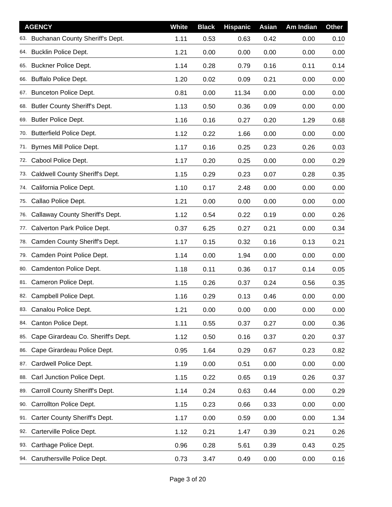| <b>AGENCY</b>                               | <b>White</b> | <b>Black</b> | <b>Hispanic</b> | Asian | Am Indian | <b>Other</b> |
|---------------------------------------------|--------------|--------------|-----------------|-------|-----------|--------------|
| 63. Buchanan County Sheriff's Dept.         | 1.11         | 0.53         | 0.63            | 0.42  | 0.00      | 0.10         |
| 64. Bucklin Police Dept.                    | 1.21         | 0.00         | 0.00            | 0.00  | 0.00      | 0.00         |
| 65. Buckner Police Dept.                    | 1.14         | 0.28         | 0.79            | 0.16  | 0.11      | 0.14         |
| <b>Buffalo Police Dept.</b><br>66.          | 1.20         | 0.02         | 0.09            | 0.21  | 0.00      | 0.00         |
| 67. Bunceton Police Dept.                   | 0.81         | 0.00         | 11.34           | 0.00  | 0.00      | 0.00         |
| <b>Butler County Sheriff's Dept.</b><br>68. | 1.13         | 0.50         | 0.36            | 0.09  | 0.00      | 0.00         |
| <b>Butler Police Dept.</b><br>69.           | 1.16         | 0.16         | 0.27            | 0.20  | 1.29      | 0.68         |
| <b>Butterfield Police Dept.</b><br>70.      | 1.12         | 0.22         | 1.66            | 0.00  | 0.00      | 0.00         |
| 71. Byrnes Mill Police Dept.                | 1.17         | 0.16         | 0.25            | 0.23  | 0.26      | 0.03         |
| Cabool Police Dept.<br>72.                  | 1.17         | 0.20         | 0.25            | 0.00  | 0.00      | 0.29         |
| Caldwell County Sheriff's Dept.<br>73.      | 1.15         | 0.29         | 0.23            | 0.07  | 0.28      | 0.35         |
| California Police Dept.<br>74.              | 1.10         | 0.17         | 2.48            | 0.00  | 0.00      | 0.00         |
| 75. Callao Police Dept.                     | 1.21         | 0.00         | 0.00            | 0.00  | 0.00      | 0.00         |
| Callaway County Sheriff's Dept.<br>76.      | 1.12         | 0.54         | 0.22            | 0.19  | 0.00      | 0.26         |
| 77. Calverton Park Police Dept.             | 0.37         | 6.25         | 0.27            | 0.21  | 0.00      | 0.34         |
| Camden County Sheriff's Dept.<br>78.        | 1.17         | 0.15         | 0.32            | 0.16  | 0.13      | 0.21         |
| 79. Camden Point Police Dept.               | 1.14         | 0.00         | 1.94            | 0.00  | 0.00      | 0.00         |
| 80. Camdenton Police Dept.                  | 1.18         | 0.11         | 0.36            | 0.17  | 0.14      | 0.05         |
| 81. Cameron Police Dept.                    | 1.15         | 0.26         | 0.37            | 0.24  | 0.56      | 0.35         |
| Campbell Police Dept.<br>82.                | 1.16         | 0.29         | 0.13            | 0.46  | 0.00      | 0.00         |
| 83. Canalou Police Dept.                    | 1.21         | 0.00         | 0.00            | 0.00  | 0.00      | 0.00         |
| 84. Canton Police Dept.                     | 1.11         | 0.55         | 0.37            | 0.27  | 0.00      | 0.36         |
| Cape Girardeau Co. Sheriff's Dept.<br>85.   | 1.12         | 0.50         | 0.16            | 0.37  | 0.20      | 0.37         |
| Cape Girardeau Police Dept.<br>86.          | 0.95         | 1.64         | 0.29            | 0.67  | 0.23      | 0.82         |
| Cardwell Police Dept.<br>87.                | 1.19         | 0.00         | 0.51            | 0.00  | 0.00      | 0.00         |
| Carl Junction Police Dept.<br>88.           | 1.15         | 0.22         | 0.65            | 0.19  | 0.26      | 0.37         |
| Carroll County Sheriff's Dept.<br>89.       | 1.14         | 0.24         | 0.63            | 0.44  | 0.00      | 0.29         |
| Carrollton Police Dept.<br>90.              | 1.15         | 0.23         | 0.66            | 0.33  | 0.00      | 0.00         |
| Carter County Sheriff's Dept.<br>91.        | 1.17         | 0.00         | 0.59            | 0.00  | 0.00      | 1.34         |
| Carterville Police Dept.<br>92.             | 1.12         | 0.21         | 1.47            | 0.39  | 0.21      | 0.26         |
| Carthage Police Dept.<br>93.                | 0.96         | 0.28         | 5.61            | 0.39  | 0.43      | 0.25         |
| 94. Caruthersville Police Dept.             | 0.73         | 3.47         | 0.49            | 0.00  | 0.00      | 0.16         |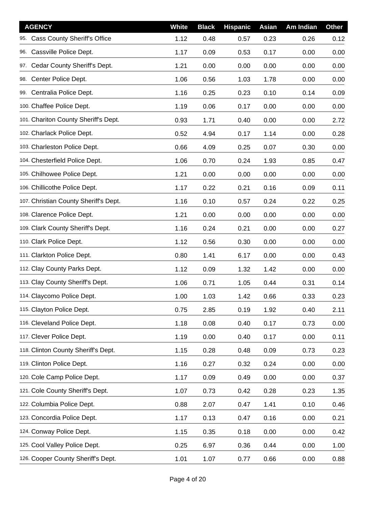| <b>AGENCY</b>                              | <b>White</b> | <b>Black</b> | <b>Hispanic</b> | Asian | Am Indian | <b>Other</b> |
|--------------------------------------------|--------------|--------------|-----------------|-------|-----------|--------------|
| <b>Cass County Sheriff's Office</b><br>95. | 1.12         | 0.48         | 0.57            | 0.23  | 0.26      | 0.12         |
| Cassville Police Dept.<br>96.              | 1.17         | 0.09         | 0.53            | 0.17  | 0.00      | 0.00         |
| 97. Cedar County Sheriff's Dept.           | 1.21         | 0.00         | 0.00            | 0.00  | 0.00      | 0.00         |
| Center Police Dept.<br>98.                 | 1.06         | 0.56         | 1.03            | 1.78  | 0.00      | 0.00         |
| 99. Centralia Police Dept.                 | 1.16         | 0.25         | 0.23            | 0.10  | 0.14      | 0.09         |
| 100. Chaffee Police Dept.                  | 1.19         | 0.06         | 0.17            | 0.00  | 0.00      | 0.00         |
| 101. Chariton County Sheriff's Dept.       | 0.93         | 1.71         | 0.40            | 0.00  | 0.00      | 2.72         |
| 102. Charlack Police Dept.                 | 0.52         | 4.94         | 0.17            | 1.14  | 0.00      | 0.28         |
| 103. Charleston Police Dept.               | 0.66         | 4.09         | 0.25            | 0.07  | 0.30      | 0.00         |
| 104. Chesterfield Police Dept.             | 1.06         | 0.70         | 0.24            | 1.93  | 0.85      | 0.47         |
| 105. Chilhowee Police Dept.                | 1.21         | 0.00         | 0.00            | 0.00  | 0.00      | 0.00         |
| 106. Chillicothe Police Dept.              | 1.17         | 0.22         | 0.21            | 0.16  | 0.09      | 0.11         |
| 107. Christian County Sheriff's Dept.      | 1.16         | 0.10         | 0.57            | 0.24  | 0.22      | 0.25         |
| 108. Clarence Police Dept.                 | 1.21         | 0.00         | 0.00            | 0.00  | 0.00      | 0.00         |
| 109. Clark County Sheriff's Dept.          | 1.16         | 0.24         | 0.21            | 0.00  | 0.00      | 0.27         |
| 110. Clark Police Dept.                    | 1.12         | 0.56         | 0.30            | 0.00  | 0.00      | 0.00         |
| 111. Clarkton Police Dept.                 | 0.80         | 1.41         | 6.17            | 0.00  | 0.00      | 0.43         |
| 112. Clay County Parks Dept.               | 1.12         | 0.09         | 1.32            | 1.42  | 0.00      | 0.00         |
| 113. Clay County Sheriff's Dept.           | 1.06         | 0.71         | 1.05            | 0.44  | 0.31      | 0.14         |
| 114. Claycomo Police Dept.                 | 1.00         | 1.03         | 1.42            | 0.66  | 0.33      | 0.23         |
| 115. Clayton Police Dept.                  | 0.75         | 2.85         | 0.19            | 1.92  | 0.40      | 2.11         |
| 116. Cleveland Police Dept.                | 1.18         | 0.08         | 0.40            | 0.17  | 0.73      | 0.00         |
| 117. Clever Police Dept.                   | 1.19         | 0.00         | 0.40            | 0.17  | 0.00      | 0.11         |
| 118. Clinton County Sheriff's Dept.        | 1.15         | 0.28         | 0.48            | 0.09  | 0.73      | 0.23         |
| 119. Clinton Police Dept.                  | 1.16         | 0.27         | 0.32            | 0.24  | 0.00      | 0.00         |
| 120. Cole Camp Police Dept.                | 1.17         | 0.09         | 0.49            | 0.00  | 0.00      | 0.37         |
| 121. Cole County Sheriff's Dept.           | 1.07         | 0.73         | 0.42            | 0.28  | 0.23      | 1.35         |
| 122. Columbia Police Dept.                 | 0.88         | 2.07         | 0.47            | 1.41  | 0.10      | 0.46         |
| 123. Concordia Police Dept.                | 1.17         | 0.13         | 0.47            | 0.16  | 0.00      | 0.21         |
| 124. Conway Police Dept.                   | 1.15         | 0.35         | 0.18            | 0.00  | 0.00      | 0.42         |
| 125. Cool Valley Police Dept.              | 0.25         | 6.97         | 0.36            | 0.44  | 0.00      | 1.00         |
| 126. Cooper County Sheriff's Dept.         | 1.01         | 1.07         | 0.77            | 0.66  | 0.00      | 0.88         |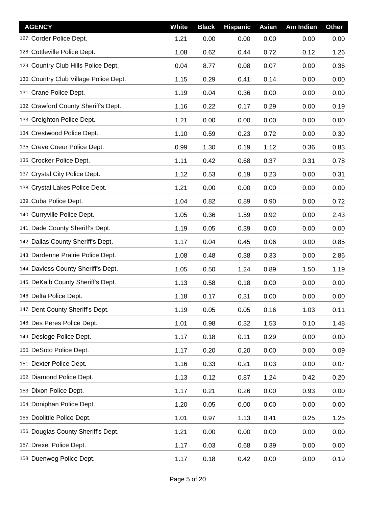| <b>AGENCY</b>                          | White | <b>Black</b> | <b>Hispanic</b> | Asian | Am Indian | <b>Other</b> |
|----------------------------------------|-------|--------------|-----------------|-------|-----------|--------------|
| 127. Corder Police Dept.               | 1.21  | 0.00         | 0.00            | 0.00  | 0.00      | 0.00         |
| 128. Cottleville Police Dept.          | 1.08  | 0.62         | 0.44            | 0.72  | 0.12      | 1.26         |
| 129. Country Club Hills Police Dept.   | 0.04  | 8.77         | 0.08            | 0.07  | 0.00      | 0.36         |
| 130. Country Club Village Police Dept. | 1.15  | 0.29         | 0.41            | 0.14  | 0.00      | 0.00         |
| 131. Crane Police Dept.                | 1.19  | 0.04         | 0.36            | 0.00  | 0.00      | 0.00         |
| 132. Crawford County Sheriff's Dept.   | 1.16  | 0.22         | 0.17            | 0.29  | 0.00      | 0.19         |
| 133. Creighton Police Dept.            | 1.21  | 0.00         | 0.00            | 0.00  | 0.00      | 0.00         |
| 134. Crestwood Police Dept.            | 1.10  | 0.59         | 0.23            | 0.72  | 0.00      | 0.30         |
| 135. Creve Coeur Police Dept.          | 0.99  | 1.30         | 0.19            | 1.12  | 0.36      | 0.83         |
| 136. Crocker Police Dept.              | 1.11  | 0.42         | 0.68            | 0.37  | 0.31      | 0.78         |
| 137. Crystal City Police Dept.         | 1.12  | 0.53         | 0.19            | 0.23  | 0.00      | 0.31         |
| 138. Crystal Lakes Police Dept.        | 1.21  | 0.00         | 0.00            | 0.00  | 0.00      | 0.00         |
| 139. Cuba Police Dept.                 | 1.04  | 0.82         | 0.89            | 0.90  | 0.00      | 0.72         |
| 140. Curryville Police Dept.           | 1.05  | 0.36         | 1.59            | 0.92  | 0.00      | 2.43         |
| 141. Dade County Sheriff's Dept.       | 1.19  | 0.05         | 0.39            | 0.00  | 0.00      | 0.00         |
| 142. Dallas County Sheriff's Dept.     | 1.17  | 0.04         | 0.45            | 0.06  | 0.00      | 0.85         |
| 143. Dardenne Prairie Police Dept.     | 1.08  | 0.48         | 0.38            | 0.33  | 0.00      | 2.86         |
| 144. Daviess County Sheriff's Dept.    | 1.05  | 0.50         | 1.24            | 0.89  | 1.50      | 1.19         |
| 145. DeKalb County Sheriff's Dept.     | 1.13  | 0.58         | 0.18            | 0.00  | 0.00      | 0.00         |
| 146. Delta Police Dept.                | 1.18  | 0.17         | 0.31            | 0.00  | 0.00      | 0.00         |
| 147. Dent County Sheriff's Dept.       | 1.19  | 0.05         | 0.05            | 0.16  | 1.03      | 0.11         |
| 148. Des Peres Police Dept.            | 1.01  | 0.98         | 0.32            | 1.53  | 0.10      | 1.48         |
| 149. Desloge Police Dept.              | 1.17  | 0.18         | 0.11            | 0.29  | 0.00      | 0.00         |
| 150. DeSoto Police Dept.               | 1.17  | 0.20         | 0.20            | 0.00  | 0.00      | 0.09         |
| 151. Dexter Police Dept.               | 1.16  | 0.33         | 0.21            | 0.03  | 0.00      | 0.07         |
| 152. Diamond Police Dept.              | 1.13  | 0.12         | 0.87            | 1.24  | 0.42      | 0.20         |
| 153. Dixon Police Dept.                | 1.17  | 0.21         | 0.26            | 0.00  | 0.93      | 0.00         |
| 154. Doniphan Police Dept.             | 1.20  | 0.05         | 0.00            | 0.00  | 0.00      | 0.00         |
| 155. Doolittle Police Dept.            | 1.01  | 0.97         | 1.13            | 0.41  | 0.25      | 1.25         |
| 156. Douglas County Sheriff's Dept.    | 1.21  | 0.00         | 0.00            | 0.00  | 0.00      | 0.00         |
| 157. Drexel Police Dept.               | 1.17  | 0.03         | 0.68            | 0.39  | 0.00      | 0.00         |
| 158. Duenweg Police Dept.              | 1.17  | 0.18         | 0.42            | 0.00  | 0.00      | 0.19         |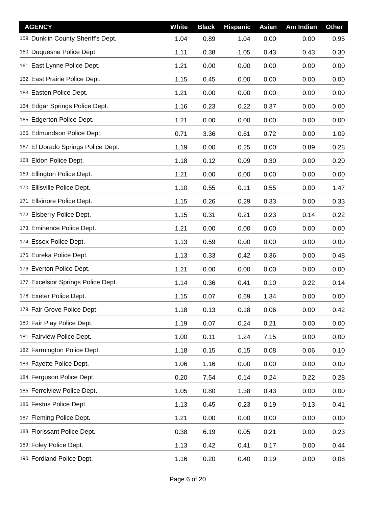| <b>AGENCY</b>                       | White | <b>Black</b> | <b>Hispanic</b> | Asian | Am Indian | Other |
|-------------------------------------|-------|--------------|-----------------|-------|-----------|-------|
| 159. Dunklin County Sheriff's Dept. | 1.04  | 0.89         | 1.04            | 0.00  | 0.00      | 0.95  |
| 160. Duquesne Police Dept.          | 1.11  | 0.38         | 1.05            | 0.43  | 0.43      | 0.30  |
| 161. East Lynne Police Dept.        | 1.21  | 0.00         | 0.00            | 0.00  | 0.00      | 0.00  |
| 162. East Prairie Police Dept.      | 1.15  | 0.45         | 0.00            | 0.00  | 0.00      | 0.00  |
| 163. Easton Police Dept.            | 1.21  | 0.00         | 0.00            | 0.00  | 0.00      | 0.00  |
| 164. Edgar Springs Police Dept.     | 1.16  | 0.23         | 0.22            | 0.37  | 0.00      | 0.00  |
| 165. Edgerton Police Dept.          | 1.21  | 0.00         | 0.00            | 0.00  | 0.00      | 0.00  |
| 166. Edmundson Police Dept.         | 0.71  | 3.36         | 0.61            | 0.72  | 0.00      | 1.09  |
| 167. El Dorado Springs Police Dept. | 1.19  | 0.00         | 0.25            | 0.00  | 0.89      | 0.28  |
| 168. Eldon Police Dept.             | 1.18  | 0.12         | 0.09            | 0.30  | 0.00      | 0.20  |
| 169. Ellington Police Dept.         | 1.21  | 0.00         | 0.00            | 0.00  | 0.00      | 0.00  |
| 170. Ellisville Police Dept.        | 1.10  | 0.55         | 0.11            | 0.55  | 0.00      | 1.47  |
| 171. Ellsinore Police Dept.         | 1.15  | 0.26         | 0.29            | 0.33  | 0.00      | 0.33  |
| 172. Elsberry Police Dept.          | 1.15  | 0.31         | 0.21            | 0.23  | 0.14      | 0.22  |
| 173. Eminence Police Dept.          | 1.21  | 0.00         | 0.00            | 0.00  | 0.00      | 0.00  |
| 174. Essex Police Dept.             | 1.13  | 0.59         | 0.00            | 0.00  | 0.00      | 0.00  |
| 175. Eureka Police Dept.            | 1.13  | 0.33         | 0.42            | 0.36  | 0.00      | 0.48  |
| 176. Everton Police Dept.           | 1.21  | 0.00         | 0.00            | 0.00  | 0.00      | 0.00  |
| 177. Excelsior Springs Police Dept. | 1.14  | 0.36         | 0.41            | 0.10  | 0.22      | 0.14  |
| 178. Exeter Police Dept.            | 1.15  | 0.07         | 0.69            | 1.34  | 0.00      | 0.00  |
| 179. Fair Grove Police Dept.        | 1.18  | 0.13         | 0.18            | 0.06  | 0.00      | 0.42  |
| 180. Fair Play Police Dept.         | 1.19  | 0.07         | 0.24            | 0.21  | 0.00      | 0.00  |
| 181. Fairview Police Dept.          | 1.00  | 0.11         | 1.24            | 7.15  | 0.00      | 0.00  |
| 182. Farmington Police Dept.        | 1.18  | 0.15         | 0.15            | 0.08  | 0.06      | 0.10  |
| 183. Fayette Police Dept.           | 1.06  | 1.16         | 0.00            | 0.00  | 0.00      | 0.00  |
| 184. Ferguson Police Dept.          | 0.20  | 7.54         | 0.14            | 0.24  | 0.22      | 0.28  |
| 185. Ferrelview Police Dept.        | 1.05  | 0.80         | 1.38            | 0.43  | 0.00      | 0.00  |
| 186. Festus Police Dept.            | 1.13  | 0.45         | 0.23            | 0.19  | 0.13      | 0.41  |
| 187. Fleming Police Dept.           | 1.21  | 0.00         | 0.00            | 0.00  | 0.00      | 0.00  |
| 188. Florissant Police Dept.        | 0.38  | 6.19         | 0.05            | 0.21  | 0.00      | 0.23  |
| 189. Foley Police Dept.             | 1.13  | 0.42         | 0.41            | 0.17  | 0.00      | 0.44  |
| 190. Fordland Police Dept.          | 1.16  | 0.20         | 0.40            | 0.19  | 0.00      | 0.08  |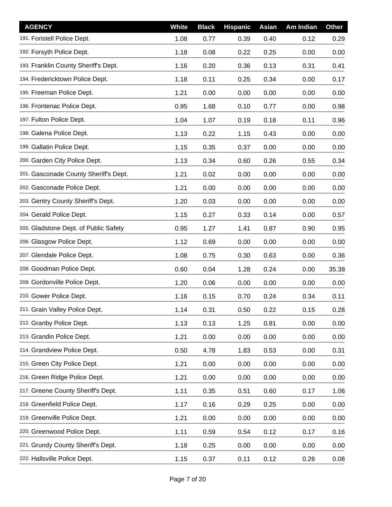| <b>AGENCY</b>                         | White | <b>Black</b> | <b>Hispanic</b> | Asian | Am Indian | <b>Other</b> |
|---------------------------------------|-------|--------------|-----------------|-------|-----------|--------------|
| 191. Foristell Police Dept.           | 1.08  | 0.77         | 0.39            | 0.40  | 0.12      | 0.29         |
| 192. Forsyth Police Dept.             | 1.18  | 0.08         | 0.22            | 0.25  | 0.00      | 0.00         |
| 193. Franklin County Sheriff's Dept.  | 1.16  | 0.20         | 0.36            | 0.13  | 0.31      | 0.41         |
| 194. Fredericktown Police Dept.       | 1.18  | 0.11         | 0.25            | 0.34  | 0.00      | 0.17         |
| 195. Freeman Police Dept.             | 1.21  | 0.00         | 0.00            | 0.00  | 0.00      | 0.00         |
| 196. Frontenac Police Dept.           | 0.95  | 1.68         | 0.10            | 0.77  | 0.00      | 0.98         |
| 197. Fulton Police Dept.              | 1.04  | 1.07         | 0.19            | 0.18  | 0.11      | 0.96         |
| 198. Galena Police Dept.              | 1.13  | 0.22         | 1.15            | 0.43  | 0.00      | 0.00         |
| 199. Gallatin Police Dept.            | 1.15  | 0.35         | 0.37            | 0.00  | 0.00      | 0.00         |
| 200. Garden City Police Dept.         | 1.13  | 0.34         | 0.60            | 0.26  | 0.55      | 0.34         |
| 201. Gasconade County Sheriff's Dept. | 1.21  | 0.02         | 0.00            | 0.00  | 0.00      | 0.00         |
| 202. Gasconade Police Dept.           | 1.21  | 0.00         | 0.00            | 0.00  | 0.00      | 0.00         |
| 203. Gentry County Sheriff's Dept.    | 1.20  | 0.03         | 0.00            | 0.00  | 0.00      | 0.00         |
| 204. Gerald Police Dept.              | 1.15  | 0.27         | 0.33            | 0.14  | 0.00      | 0.57         |
| 205. Gladstone Dept. of Public Safety | 0.95  | 1.27         | 1.41            | 0.87  | 0.90      | 0.95         |
| 206. Glasgow Police Dept.             | 1.12  | 0.69         | 0.00            | 0.00  | 0.00      | 0.00         |
| 207. Glendale Police Dept.            | 1.08  | 0.75         | 0.30            | 0.63  | 0.00      | 0.36         |
| 208. Goodman Police Dept.             | 0.60  | 0.04         | 1.28            | 0.24  | 0.00      | 35.38        |
| 209. Gordonville Police Dept.         | 1.20  | 0.06         | 0.00            | 0.00  | 0.00      | 0.00         |
| 210. Gower Police Dept.               | 1.16  | 0.15         | 0.70            | 0.24  | 0.34      | 0.11         |
| 211. Grain Valley Police Dept.        | 1.14  | 0.31         | 0.50            | 0.22  | 0.15      | 0.28         |
| 212. Granby Police Dept.              | 1.13  | 0.13         | 1.25            | 0.81  | 0.00      | 0.00         |
| 213. Grandin Police Dept.             | 1.21  | 0.00         | 0.00            | 0.00  | 0.00      | 0.00         |
| 214. Grandview Police Dept.           | 0.50  | 4.78         | 1.83            | 0.53  | 0.00      | 0.31         |
| 215. Green City Police Dept.          | 1.21  | 0.00         | 0.00            | 0.00  | 0.00      | 0.00         |
| 216. Green Ridge Police Dept.         | 1.21  | 0.00         | 0.00            | 0.00  | 0.00      | 0.00         |
| 217. Greene County Sheriff's Dept.    | 1.11  | 0.35         | 0.51            | 0.60  | 0.17      | 1.06         |
| 218. Greenfield Police Dept.          | 1.17  | 0.16         | 0.29            | 0.25  | 0.00      | 0.00         |
| 219. Greenville Police Dept.          | 1.21  | 0.00         | 0.00            | 0.00  | 0.00      | 0.00         |
| 220. Greenwood Police Dept.           | 1.11  | 0.59         | 0.54            | 0.12  | 0.17      | 0.16         |
| 221. Grundy County Sheriff's Dept.    | 1.18  | 0.25         | 0.00            | 0.00  | 0.00      | 0.00         |
| 222. Hallsville Police Dept.          | 1.15  | 0.37         | 0.11            | 0.12  | 0.26      | 0.08         |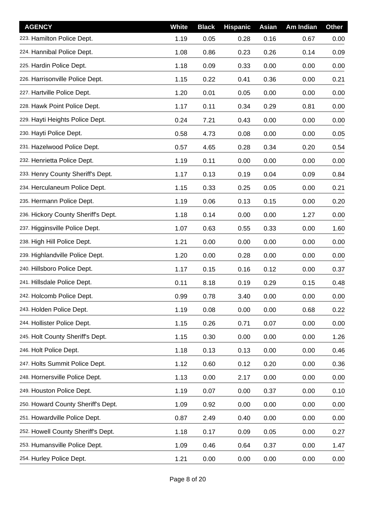| <b>AGENCY</b>                       | <b>White</b> | <b>Black</b> | <b>Hispanic</b> | Asian | Am Indian | <b>Other</b> |
|-------------------------------------|--------------|--------------|-----------------|-------|-----------|--------------|
| 223. Hamilton Police Dept.          | 1.19         | 0.05         | 0.28            | 0.16  | 0.67      | 0.00         |
| 224. Hannibal Police Dept.          | 1.08         | 0.86         | 0.23            | 0.26  | 0.14      | 0.09         |
| 225. Hardin Police Dept.            | 1.18         | 0.09         | 0.33            | 0.00  | 0.00      | 0.00         |
| 226. Harrisonville Police Dept.     | 1.15         | 0.22         | 0.41            | 0.36  | 0.00      | 0.21         |
| 227. Hartville Police Dept.         | 1.20         | 0.01         | 0.05            | 0.00  | 0.00      | 0.00         |
| 228. Hawk Point Police Dept.        | 1.17         | 0.11         | 0.34            | 0.29  | 0.81      | 0.00         |
| 229. Hayti Heights Police Dept.     | 0.24         | 7.21         | 0.43            | 0.00  | 0.00      | 0.00         |
| 230. Hayti Police Dept.             | 0.58         | 4.73         | 0.08            | 0.00  | 0.00      | 0.05         |
| 231. Hazelwood Police Dept.         | 0.57         | 4.65         | 0.28            | 0.34  | 0.20      | 0.54         |
| 232. Henrietta Police Dept.         | 1.19         | 0.11         | 0.00            | 0.00  | 0.00      | 0.00         |
| 233. Henry County Sheriff's Dept.   | 1.17         | 0.13         | 0.19            | 0.04  | 0.09      | 0.84         |
| 234. Herculaneum Police Dept.       | 1.15         | 0.33         | 0.25            | 0.05  | 0.00      | 0.21         |
| 235. Hermann Police Dept.           | 1.19         | 0.06         | 0.13            | 0.15  | 0.00      | 0.20         |
| 236. Hickory County Sheriff's Dept. | 1.18         | 0.14         | 0.00            | 0.00  | 1.27      | 0.00         |
| 237. Higginsville Police Dept.      | 1.07         | 0.63         | 0.55            | 0.33  | 0.00      | 1.60         |
| 238. High Hill Police Dept.         | 1.21         | 0.00         | 0.00            | 0.00  | 0.00      | 0.00         |
| 239. Highlandville Police Dept.     | 1.20         | 0.00         | 0.28            | 0.00  | 0.00      | 0.00         |
| 240. Hillsboro Police Dept.         | 1.17         | 0.15         | 0.16            | 0.12  | 0.00      | 0.37         |
| 241. Hillsdale Police Dept.         | 0.11         | 8.18         | 0.19            | 0.29  | 0.15      | 0.48         |
| 242. Holcomb Police Dept.           | 0.99         | 0.78         | 3.40            | 0.00  | 0.00      | 0.00         |
| 243. Holden Police Dept.            | 1.19         | 0.08         | 0.00            | 0.00  | 0.68      | 0.22         |
| 244. Hollister Police Dept.         | 1.15         | 0.26         | 0.71            | 0.07  | 0.00      | 0.00         |
| 245. Holt County Sheriff's Dept.    | 1.15         | 0.30         | 0.00            | 0.00  | 0.00      | 1.26         |
| 246. Holt Police Dept.              | 1.18         | 0.13         | 0.13            | 0.00  | 0.00      | 0.46         |
| 247. Holts Summit Police Dept.      | 1.12         | 0.60         | 0.12            | 0.20  | 0.00      | 0.36         |
| 248. Hornersville Police Dept.      | 1.13         | 0.00         | 2.17            | 0.00  | 0.00      | 0.00         |
| 249. Houston Police Dept.           | 1.19         | 0.07         | 0.00            | 0.37  | 0.00      | 0.10         |
| 250. Howard County Sheriff's Dept.  | 1.09         | 0.92         | 0.00            | 0.00  | 0.00      | 0.00         |
| 251. Howardville Police Dept.       | 0.87         | 2.49         | 0.40            | 0.00  | 0.00      | 0.00         |
| 252. Howell County Sheriff's Dept.  | 1.18         | 0.17         | 0.09            | 0.05  | 0.00      | 0.27         |
| 253. Humansville Police Dept.       | 1.09         | 0.46         | 0.64            | 0.37  | 0.00      | 1.47         |
| 254. Hurley Police Dept.            | 1.21         | 0.00         | 0.00            | 0.00  | 0.00      | 0.00         |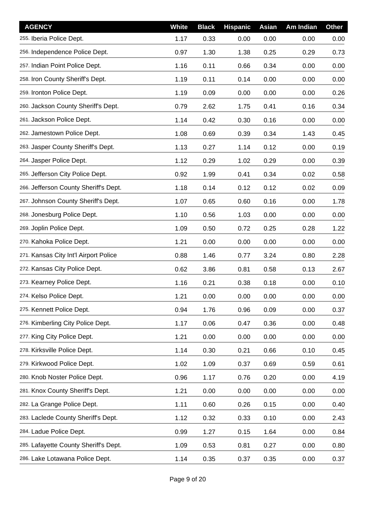| <b>AGENCY</b>                         | White | <b>Black</b> | <b>Hispanic</b> | <b>Asian</b> | Am Indian | <b>Other</b> |
|---------------------------------------|-------|--------------|-----------------|--------------|-----------|--------------|
| 255. Iberia Police Dept.              | 1.17  | 0.33         | 0.00            | 0.00         | 0.00      | 0.00         |
| 256. Independence Police Dept.        | 0.97  | 1.30         | 1.38            | 0.25         | 0.29      | 0.73         |
| 257. Indian Point Police Dept.        | 1.16  | 0.11         | 0.66            | 0.34         | 0.00      | 0.00         |
| 258. Iron County Sheriff's Dept.      | 1.19  | 0.11         | 0.14            | 0.00         | 0.00      | 0.00         |
| 259. Ironton Police Dept.             | 1.19  | 0.09         | 0.00            | 0.00         | 0.00      | 0.26         |
| 260. Jackson County Sheriff's Dept.   | 0.79  | 2.62         | 1.75            | 0.41         | 0.16      | 0.34         |
| 261. Jackson Police Dept.             | 1.14  | 0.42         | 0.30            | 0.16         | 0.00      | 0.00         |
| 262. Jamestown Police Dept.           | 1.08  | 0.69         | 0.39            | 0.34         | 1.43      | 0.45         |
| 263. Jasper County Sheriff's Dept.    | 1.13  | 0.27         | 1.14            | 0.12         | 0.00      | 0.19         |
| 264. Jasper Police Dept.              | 1.12  | 0.29         | 1.02            | 0.29         | 0.00      | 0.39         |
| 265. Jefferson City Police Dept.      | 0.92  | 1.99         | 0.41            | 0.34         | 0.02      | 0.58         |
| 266. Jefferson County Sheriff's Dept. | 1.18  | 0.14         | 0.12            | 0.12         | 0.02      | 0.09         |
| 267. Johnson County Sheriff's Dept.   | 1.07  | 0.65         | 0.60            | 0.16         | 0.00      | 1.78         |
| 268. Jonesburg Police Dept.           | 1.10  | 0.56         | 1.03            | 0.00         | 0.00      | 0.00         |
| 269. Joplin Police Dept.              | 1.09  | 0.50         | 0.72            | 0.25         | 0.28      | 1.22         |
| 270. Kahoka Police Dept.              | 1.21  | 0.00         | 0.00            | 0.00         | 0.00      | 0.00         |
| 271. Kansas City Int'l Airport Police | 0.88  | 1.46         | 0.77            | 3.24         | 0.80      | 2.28         |
| 272. Kansas City Police Dept.         | 0.62  | 3.86         | 0.81            | 0.58         | 0.13      | 2.67         |
| 273. Kearney Police Dept.             | 1.16  | 0.21         | 0.38            | 0.18         | 0.00      | 0.10         |
| 274. Kelso Police Dept.               | 1.21  | 0.00         | 0.00            | 0.00         | 0.00      | 0.00         |
| 275. Kennett Police Dept.             | 0.94  | 1.76         | 0.96            | 0.09         | 0.00      | 0.37         |
| 276. Kimberling City Police Dept.     | 1.17  | 0.06         | 0.47            | 0.36         | 0.00      | 0.48         |
| 277. King City Police Dept.           | 1.21  | 0.00         | 0.00            | 0.00         | 0.00      | 0.00         |
| 278. Kirksville Police Dept.          | 1.14  | 0.30         | 0.21            | 0.66         | 0.10      | 0.45         |
| 279. Kirkwood Police Dept.            | 1.02  | 1.09         | 0.37            | 0.69         | 0.59      | 0.61         |
| 280. Knob Noster Police Dept.         | 0.96  | 1.17         | 0.76            | 0.20         | 0.00      | 4.19         |
| 281. Knox County Sheriff's Dept.      | 1.21  | 0.00         | 0.00            | 0.00         | 0.00      | 0.00         |
| 282. La Grange Police Dept.           | 1.11  | 0.60         | 0.26            | 0.15         | 0.00      | 0.40         |
| 283. Laclede County Sheriff's Dept.   | 1.12  | 0.32         | 0.33            | 0.10         | 0.00      | 2.43         |
| 284. Ladue Police Dept.               | 0.99  | 1.27         | 0.15            | 1.64         | 0.00      | 0.84         |
| 285. Lafayette County Sheriff's Dept. | 1.09  | 0.53         | 0.81            | 0.27         | 0.00      | 0.80         |
| 286. Lake Lotawana Police Dept.       | 1.14  | 0.35         | 0.37            | 0.35         | 0.00      | 0.37         |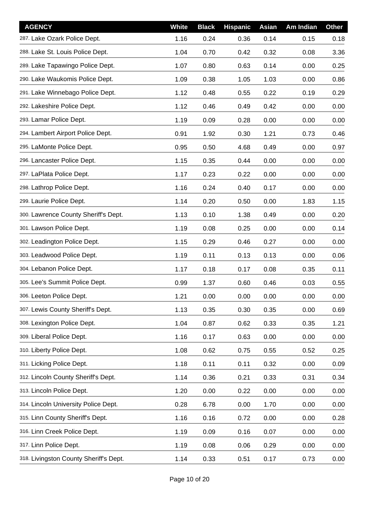| <b>AGENCY</b>                          | <b>White</b> | <b>Black</b> | <b>Hispanic</b> | <b>Asian</b> | Am Indian | <b>Other</b> |
|----------------------------------------|--------------|--------------|-----------------|--------------|-----------|--------------|
| 287. Lake Ozark Police Dept.           | 1.16         | 0.24         | 0.36            | 0.14         | 0.15      | 0.18         |
| 288. Lake St. Louis Police Dept.       | 1.04         | 0.70         | 0.42            | 0.32         | 0.08      | 3.36         |
| 289. Lake Tapawingo Police Dept.       | 1.07         | 0.80         | 0.63            | 0.14         | 0.00      | 0.25         |
| 290. Lake Waukomis Police Dept.        | 1.09         | 0.38         | 1.05            | 1.03         | 0.00      | 0.86         |
| 291. Lake Winnebago Police Dept.       | 1.12         | 0.48         | 0.55            | 0.22         | 0.19      | 0.29         |
| 292. Lakeshire Police Dept.            | 1.12         | 0.46         | 0.49            | 0.42         | 0.00      | 0.00         |
| 293. Lamar Police Dept.                | 1.19         | 0.09         | 0.28            | 0.00         | 0.00      | 0.00         |
| 294. Lambert Airport Police Dept.      | 0.91         | 1.92         | 0.30            | 1.21         | 0.73      | 0.46         |
| 295. LaMonte Police Dept.              | 0.95         | 0.50         | 4.68            | 0.49         | 0.00      | 0.97         |
| 296. Lancaster Police Dept.            | 1.15         | 0.35         | 0.44            | 0.00         | 0.00      | 0.00         |
| 297. LaPlata Police Dept.              | 1.17         | 0.23         | 0.22            | 0.00         | 0.00      | 0.00         |
| 298. Lathrop Police Dept.              | 1.16         | 0.24         | 0.40            | 0.17         | 0.00      | 0.00         |
| 299. Laurie Police Dept.               | 1.14         | 0.20         | 0.50            | 0.00         | 1.83      | 1.15         |
| 300. Lawrence County Sheriff's Dept.   | 1.13         | 0.10         | 1.38            | 0.49         | 0.00      | 0.20         |
| 301. Lawson Police Dept.               | 1.19         | 0.08         | 0.25            | 0.00         | 0.00      | 0.14         |
| 302. Leadington Police Dept.           | 1.15         | 0.29         | 0.46            | 0.27         | 0.00      | 0.00         |
| 303. Leadwood Police Dept.             | 1.19         | 0.11         | 0.13            | 0.13         | 0.00      | 0.06         |
| 304. Lebanon Police Dept.              | 1.17         | 0.18         | 0.17            | 0.08         | 0.35      | 0.11         |
| 305. Lee's Summit Police Dept.         | 0.99         | 1.37         | 0.60            | 0.46         | 0.03      | 0.55         |
| 306. Leeton Police Dept.               | 1.21         | 0.00         | 0.00            | 0.00         | 0.00      | 0.00         |
| 307. Lewis County Sheriff's Dept.      | 1.13         | 0.35         | 0.30            | 0.35         | 0.00      | 0.69         |
| 308. Lexington Police Dept.            | 1.04         | 0.87         | 0.62            | 0.33         | 0.35      | 1.21         |
| 309. Liberal Police Dept.              | 1.16         | 0.17         | 0.63            | 0.00         | 0.00      | 0.00         |
| 310. Liberty Police Dept.              | 1.08         | 0.62         | 0.75            | 0.55         | 0.52      | 0.25         |
| 311. Licking Police Dept.              | 1.18         | 0.11         | 0.11            | 0.32         | 0.00      | 0.09         |
| 312. Lincoln County Sheriff's Dept.    | 1.14         | 0.36         | 0.21            | 0.33         | 0.31      | 0.34         |
| 313. Lincoln Police Dept.              | 1.20         | 0.00         | 0.22            | 0.00         | 0.00      | 0.00         |
| 314. Lincoln University Police Dept.   | 0.28         | 6.78         | 0.00            | 1.70         | 0.00      | 0.00         |
| 315. Linn County Sheriff's Dept.       | 1.16         | 0.16         | 0.72            | 0.00         | 0.00      | 0.28         |
| 316. Linn Creek Police Dept.           | 1.19         | 0.09         | 0.16            | 0.07         | 0.00      | 0.00         |
| 317. Linn Police Dept.                 | 1.19         | 0.08         | 0.06            | 0.29         | 0.00      | 0.00         |
| 318. Livingston County Sheriff's Dept. | 1.14         | 0.33         | 0.51            | 0.17         | 0.73      | 0.00         |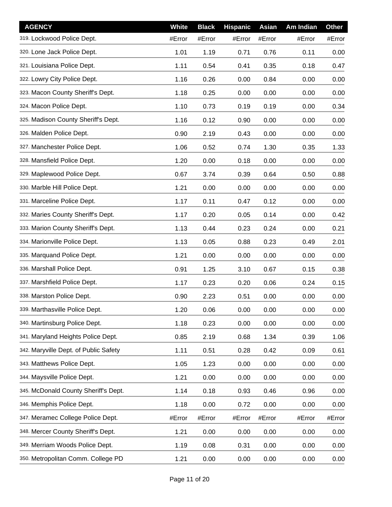| <b>AGENCY</b>                         | White  | <b>Black</b> | <b>Hispanic</b> | Asian  | Am Indian | <b>Other</b> |
|---------------------------------------|--------|--------------|-----------------|--------|-----------|--------------|
| 319. Lockwood Police Dept.            | #Error | #Error       | #Error          | #Error | #Error    | #Error       |
| 320. Lone Jack Police Dept.           | 1.01   | 1.19         | 0.71            | 0.76   | 0.11      | 0.00         |
| 321. Louisiana Police Dept.           | 1.11   | 0.54         | 0.41            | 0.35   | 0.18      | 0.47         |
| 322. Lowry City Police Dept.          | 1.16   | 0.26         | 0.00            | 0.84   | 0.00      | 0.00         |
| 323. Macon County Sheriff's Dept.     | 1.18   | 0.25         | 0.00            | 0.00   | 0.00      | 0.00         |
| 324. Macon Police Dept.               | 1.10   | 0.73         | 0.19            | 0.19   | 0.00      | 0.34         |
| 325. Madison County Sheriff's Dept.   | 1.16   | 0.12         | 0.90            | 0.00   | 0.00      | 0.00         |
| 326. Malden Police Dept.              | 0.90   | 2.19         | 0.43            | 0.00   | 0.00      | 0.00         |
| 327. Manchester Police Dept.          | 1.06   | 0.52         | 0.74            | 1.30   | 0.35      | 1.33         |
| 328. Mansfield Police Dept.           | 1.20   | 0.00         | 0.18            | 0.00   | 0.00      | 0.00         |
| 329. Maplewood Police Dept.           | 0.67   | 3.74         | 0.39            | 0.64   | 0.50      | 0.88         |
| 330. Marble Hill Police Dept.         | 1.21   | 0.00         | 0.00            | 0.00   | 0.00      | 0.00         |
| 331. Marceline Police Dept.           | 1.17   | 0.11         | 0.47            | 0.12   | 0.00      | 0.00         |
| 332. Maries County Sheriff's Dept.    | 1.17   | 0.20         | 0.05            | 0.14   | 0.00      | 0.42         |
| 333. Marion County Sheriff's Dept.    | 1.13   | 0.44         | 0.23            | 0.24   | 0.00      | 0.21         |
| 334. Marionville Police Dept.         | 1.13   | 0.05         | 0.88            | 0.23   | 0.49      | 2.01         |
| 335. Marquand Police Dept.            | 1.21   | 0.00         | 0.00            | 0.00   | 0.00      | 0.00         |
| 336. Marshall Police Dept.            | 0.91   | 1.25         | 3.10            | 0.67   | 0.15      | 0.38         |
| 337. Marshfield Police Dept.          | 1.17   | 0.23         | 0.20            | 0.06   | 0.24      | 0.15         |
| 338. Marston Police Dept.             | 0.90   | 2.23         | 0.51            | 0.00   | 0.00      | 0.00         |
| 339. Marthasville Police Dept.        | 1.20   | 0.06         | 0.00            | 0.00   | 0.00      | 0.00         |
| 340. Martinsburg Police Dept.         | 1.18   | 0.23         | 0.00            | 0.00   | 0.00      | 0.00         |
| 341. Maryland Heights Police Dept.    | 0.85   | 2.19         | 0.68            | 1.34   | 0.39      | 1.06         |
| 342. Maryville Dept. of Public Safety | 1.11   | 0.51         | 0.28            | 0.42   | 0.09      | 0.61         |
| 343. Matthews Police Dept.            | 1.05   | 1.23         | 0.00            | 0.00   | 0.00      | 0.00         |
| 344. Maysville Police Dept.           | 1.21   | 0.00         | 0.00            | 0.00   | 0.00      | 0.00         |
| 345. McDonald County Sheriff's Dept.  | 1.14   | 0.18         | 0.93            | 0.46   | 0.96      | 0.00         |
| 346. Memphis Police Dept.             | 1.18   | 0.00         | 0.72            | 0.00   | 0.00      | 0.00         |
| 347. Meramec College Police Dept.     | #Error | #Error       | #Error          | #Error | #Error    | #Error       |
| 348. Mercer County Sheriff's Dept.    | 1.21   | 0.00         | 0.00            | 0.00   | 0.00      | 0.00         |
| 349. Merriam Woods Police Dept.       | 1.19   | 0.08         | 0.31            | 0.00   | 0.00      | 0.00         |
| 350. Metropolitan Comm. College PD    | 1.21   | 0.00         | 0.00            | 0.00   | 0.00      | 0.00         |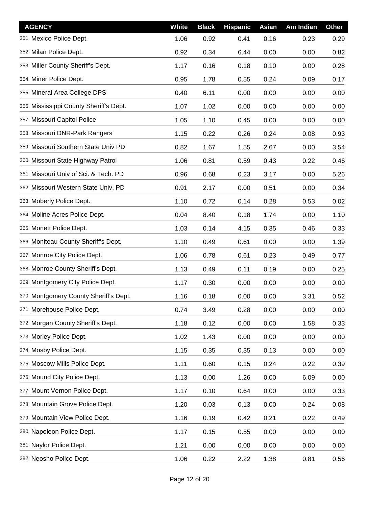| <b>AGENCY</b>                           | White | <b>Black</b> | <b>Hispanic</b> | Asian | Am Indian | <b>Other</b> |
|-----------------------------------------|-------|--------------|-----------------|-------|-----------|--------------|
| 351. Mexico Police Dept.                | 1.06  | 0.92         | 0.41            | 0.16  | 0.23      | 0.29         |
| 352. Milan Police Dept.                 | 0.92  | 0.34         | 6.44            | 0.00  | 0.00      | 0.82         |
| 353. Miller County Sheriff's Dept.      | 1.17  | 0.16         | 0.18            | 0.10  | 0.00      | 0.28         |
| 354. Miner Police Dept.                 | 0.95  | 1.78         | 0.55            | 0.24  | 0.09      | 0.17         |
| 355. Mineral Area College DPS           | 0.40  | 6.11         | 0.00            | 0.00  | 0.00      | 0.00         |
| 356. Mississippi County Sheriff's Dept. | 1.07  | 1.02         | 0.00            | 0.00  | 0.00      | 0.00         |
| 357. Missouri Capitol Police            | 1.05  | 1.10         | 0.45            | 0.00  | 0.00      | 0.00         |
| 358. Missouri DNR-Park Rangers          | 1.15  | 0.22         | 0.26            | 0.24  | 0.08      | 0.93         |
| 359. Missouri Southern State Univ PD    | 0.82  | 1.67         | 1.55            | 2.67  | 0.00      | 3.54         |
| 360. Missouri State Highway Patrol      | 1.06  | 0.81         | 0.59            | 0.43  | 0.22      | 0.46         |
| 361. Missouri Univ of Sci. & Tech. PD   | 0.96  | 0.68         | 0.23            | 3.17  | 0.00      | 5.26         |
| 362. Missouri Western State Univ. PD    | 0.91  | 2.17         | 0.00            | 0.51  | 0.00      | 0.34         |
| 363. Moberly Police Dept.               | 1.10  | 0.72         | 0.14            | 0.28  | 0.53      | 0.02         |
| 364. Moline Acres Police Dept.          | 0.04  | 8.40         | 0.18            | 1.74  | 0.00      | 1.10         |
| 365. Monett Police Dept.                | 1.03  | 0.14         | 4.15            | 0.35  | 0.46      | 0.33         |
| 366. Moniteau County Sheriff's Dept.    | 1.10  | 0.49         | 0.61            | 0.00  | 0.00      | 1.39         |
| 367. Monroe City Police Dept.           | 1.06  | 0.78         | 0.61            | 0.23  | 0.49      | 0.77         |
| 368. Monroe County Sheriff's Dept.      | 1.13  | 0.49         | 0.11            | 0.19  | 0.00      | 0.25         |
| 369. Montgomery City Police Dept.       | 1.17  | 0.30         | 0.00            | 0.00  | 0.00      | 0.00         |
| 370. Montgomery County Sheriff's Dept.  | 1.16  | 0.18         | 0.00            | 0.00  | 3.31      | 0.52         |
| 371. Morehouse Police Dept.             | 0.74  | 3.49         | 0.28            | 0.00  | 0.00      | 0.00         |
| 372. Morgan County Sheriff's Dept.      | 1.18  | 0.12         | 0.00            | 0.00  | 1.58      | 0.33         |
| 373. Morley Police Dept.                | 1.02  | 1.43         | 0.00            | 0.00  | 0.00      | 0.00         |
| 374. Mosby Police Dept.                 | 1.15  | 0.35         | 0.35            | 0.13  | 0.00      | 0.00         |
| 375. Moscow Mills Police Dept.          | 1.11  | 0.60         | 0.15            | 0.24  | 0.22      | 0.39         |
| 376. Mound City Police Dept.            | 1.13  | 0.00         | 1.26            | 0.00  | 6.09      | 0.00         |
| 377. Mount Vernon Police Dept.          | 1.17  | 0.10         | 0.64            | 0.00  | 0.00      | 0.33         |
| 378. Mountain Grove Police Dept.        | 1.20  | 0.03         | 0.13            | 0.00  | 0.24      | 0.08         |
| 379. Mountain View Police Dept.         | 1.16  | 0.19         | 0.42            | 0.21  | 0.22      | 0.49         |
| 380. Napoleon Police Dept.              | 1.17  | 0.15         | 0.55            | 0.00  | 0.00      | 0.00         |
| 381. Naylor Police Dept.                | 1.21  | 0.00         | 0.00            | 0.00  | 0.00      | 0.00         |
| 382. Neosho Police Dept.                | 1.06  | 0.22         | 2.22            | 1.38  | 0.81      | 0.56         |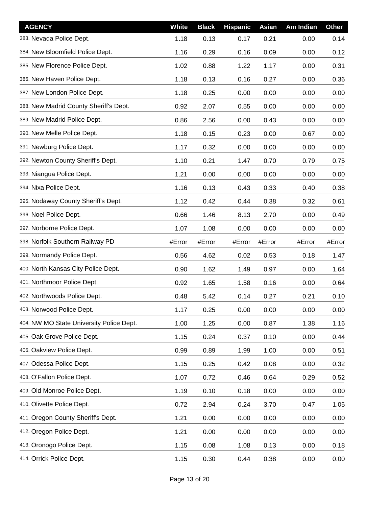| <b>AGENCY</b>                            | White  | <b>Black</b> | <b>Hispanic</b> | Asian  | Am Indian | <b>Other</b> |
|------------------------------------------|--------|--------------|-----------------|--------|-----------|--------------|
| 383. Nevada Police Dept.                 | 1.18   | 0.13         | 0.17            | 0.21   | 0.00      | 0.14         |
| 384. New Bloomfield Police Dept.         | 1.16   | 0.29         | 0.16            | 0.09   | 0.00      | 0.12         |
| 385. New Florence Police Dept.           | 1.02   | 0.88         | 1.22            | 1.17   | 0.00      | 0.31         |
| 386. New Haven Police Dept.              | 1.18   | 0.13         | 0.16            | 0.27   | 0.00      | 0.36         |
| 387. New London Police Dept.             | 1.18   | 0.25         | 0.00            | 0.00   | 0.00      | 0.00         |
| 388. New Madrid County Sheriff's Dept.   | 0.92   | 2.07         | 0.55            | 0.00   | 0.00      | 0.00         |
| 389. New Madrid Police Dept.             | 0.86   | 2.56         | 0.00            | 0.43   | 0.00      | 0.00         |
| 390. New Melle Police Dept.              | 1.18   | 0.15         | 0.23            | 0.00   | 0.67      | 0.00         |
| 391. Newburg Police Dept.                | 1.17   | 0.32         | 0.00            | 0.00   | 0.00      | 0.00         |
| 392. Newton County Sheriff's Dept.       | 1.10   | 0.21         | 1.47            | 0.70   | 0.79      | 0.75         |
| 393. Niangua Police Dept.                | 1.21   | 0.00         | 0.00            | 0.00   | 0.00      | 0.00         |
| 394. Nixa Police Dept.                   | 1.16   | 0.13         | 0.43            | 0.33   | 0.40      | 0.38         |
| 395. Nodaway County Sheriff's Dept.      | 1.12   | 0.42         | 0.44            | 0.38   | 0.32      | 0.61         |
| 396. Noel Police Dept.                   | 0.66   | 1.46         | 8.13            | 2.70   | 0.00      | 0.49         |
| 397. Norborne Police Dept.               | 1.07   | 1.08         | 0.00            | 0.00   | 0.00      | 0.00         |
| 398. Norfolk Southern Railway PD         | #Error | #Error       | #Error          | #Error | #Error    | #Error       |
| 399. Normandy Police Dept.               | 0.56   | 4.62         | 0.02            | 0.53   | 0.18      | 1.47         |
| 400. North Kansas City Police Dept.      | 0.90   | 1.62         | 1.49            | 0.97   | 0.00      | 1.64         |
| 401. Northmoor Police Dept.              | 0.92   | 1.65         | 1.58            | 0.16   | 0.00      | 0.64         |
| 402. Northwoods Police Dept.             | 0.48   | 5.42         | 0.14            | 0.27   | 0.21      | 0.10         |
| 403. Norwood Police Dept.                | 1.17   | 0.25         | 0.00            | 0.00   | 0.00      | 0.00         |
| 404. NW MO State University Police Dept. | 1.00   | 1.25         | 0.00            | 0.87   | 1.38      | 1.16         |
| 405. Oak Grove Police Dept.              | 1.15   | 0.24         | 0.37            | 0.10   | 0.00      | 0.44         |
| 406. Oakview Police Dept.                | 0.99   | 0.89         | 1.99            | 1.00   | 0.00      | 0.51         |
| 407. Odessa Police Dept.                 | 1.15   | 0.25         | 0.42            | 0.08   | 0.00      | 0.32         |
| 408. O'Fallon Police Dept.               | 1.07   | 0.72         | 0.46            | 0.64   | 0.29      | 0.52         |
| 409. Old Monroe Police Dept.             | 1.19   | 0.10         | 0.18            | 0.00   | 0.00      | 0.00         |
| 410. Olivette Police Dept.               | 0.72   | 2.94         | 0.24            | 3.70   | 0.47      | 1.05         |
| 411. Oregon County Sheriff's Dept.       | 1.21   | 0.00         | 0.00            | 0.00   | 0.00      | 0.00         |
| 412. Oregon Police Dept.                 | 1.21   | 0.00         | 0.00            | 0.00   | 0.00      | 0.00         |
| 413. Oronogo Police Dept.                | 1.15   | 0.08         | 1.08            | 0.13   | 0.00      | 0.18         |
| 414. Orrick Police Dept.                 | 1.15   | 0.30         | 0.44            | 0.38   | 0.00      | 0.00         |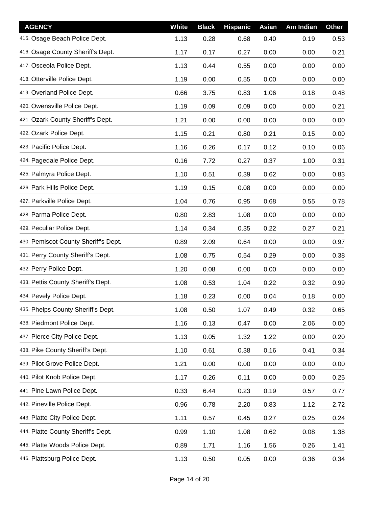| <b>AGENCY</b>                        | White | <b>Black</b> | <b>Hispanic</b> | Asian | Am Indian | <b>Other</b> |
|--------------------------------------|-------|--------------|-----------------|-------|-----------|--------------|
| 415. Osage Beach Police Dept.        | 1.13  | 0.28         | 0.68            | 0.40  | 0.19      | 0.53         |
| 416. Osage County Sheriff's Dept.    | 1.17  | 0.17         | 0.27            | 0.00  | 0.00      | 0.21         |
| 417. Osceola Police Dept.            | 1.13  | 0.44         | 0.55            | 0.00  | 0.00      | 0.00         |
| 418. Otterville Police Dept.         | 1.19  | 0.00         | 0.55            | 0.00  | 0.00      | 0.00         |
| 419. Overland Police Dept.           | 0.66  | 3.75         | 0.83            | 1.06  | 0.18      | 0.48         |
| 420. Owensville Police Dept.         | 1.19  | 0.09         | 0.09            | 0.00  | 0.00      | 0.21         |
| 421. Ozark County Sheriff's Dept.    | 1.21  | 0.00         | 0.00            | 0.00  | 0.00      | 0.00         |
| 422. Ozark Police Dept.              | 1.15  | 0.21         | 0.80            | 0.21  | 0.15      | 0.00         |
| 423. Pacific Police Dept.            | 1.16  | 0.26         | 0.17            | 0.12  | 0.10      | 0.06         |
| 424. Pagedale Police Dept.           | 0.16  | 7.72         | 0.27            | 0.37  | 1.00      | 0.31         |
| 425. Palmyra Police Dept.            | 1.10  | 0.51         | 0.39            | 0.62  | 0.00      | 0.83         |
| 426. Park Hills Police Dept.         | 1.19  | 0.15         | 0.08            | 0.00  | 0.00      | 0.00         |
| 427. Parkville Police Dept.          | 1.04  | 0.76         | 0.95            | 0.68  | 0.55      | 0.78         |
| 428. Parma Police Dept.              | 0.80  | 2.83         | 1.08            | 0.00  | 0.00      | 0.00         |
| 429. Peculiar Police Dept.           | 1.14  | 0.34         | 0.35            | 0.22  | 0.27      | 0.21         |
| 430. Pemiscot County Sheriff's Dept. | 0.89  | 2.09         | 0.64            | 0.00  | 0.00      | 0.97         |
| 431. Perry County Sheriff's Dept.    | 1.08  | 0.75         | 0.54            | 0.29  | 0.00      | 0.38         |
| 432. Perry Police Dept.              | 1.20  | 0.08         | 0.00            | 0.00  | 0.00      | 0.00         |
| 433. Pettis County Sheriff's Dept.   | 1.08  | 0.53         | 1.04            | 0.22  | 0.32      | 0.99         |
| 434. Pevely Police Dept.             | 1.18  | 0.23         | 0.00            | 0.04  | 0.18      | 0.00         |
| 435. Phelps County Sheriff's Dept.   | 1.08  | 0.50         | 1.07            | 0.49  | 0.32      | 0.65         |
| 436. Piedmont Police Dept.           | 1.16  | 0.13         | 0.47            | 0.00  | 2.06      | 0.00         |
| 437. Pierce City Police Dept.        | 1.13  | 0.05         | 1.32            | 1.22  | 0.00      | 0.20         |
| 438. Pike County Sheriff's Dept.     | 1.10  | 0.61         | 0.38            | 0.16  | 0.41      | 0.34         |
| 439. Pilot Grove Police Dept.        | 1.21  | 0.00         | 0.00            | 0.00  | 0.00      | 0.00         |
| 440. Pilot Knob Police Dept.         | 1.17  | 0.26         | 0.11            | 0.00  | 0.00      | 0.25         |
| 441. Pine Lawn Police Dept.          | 0.33  | 6.44         | 0.23            | 0.19  | 0.57      | 0.77         |
| 442. Pineville Police Dept.          | 0.96  | 0.78         | 2.20            | 0.83  | 1.12      | 2.72         |
| 443. Platte City Police Dept.        | 1.11  | 0.57         | 0.45            | 0.27  | 0.25      | 0.24         |
| 444. Platte County Sheriff's Dept.   | 0.99  | 1.10         | 1.08            | 0.62  | 0.08      | 1.38         |
| 445. Platte Woods Police Dept.       | 0.89  | 1.71         | 1.16            | 1.56  | 0.26      | 1.41         |
| 446. Plattsburg Police Dept.         | 1.13  | 0.50         | 0.05            | 0.00  | 0.36      | 0.34         |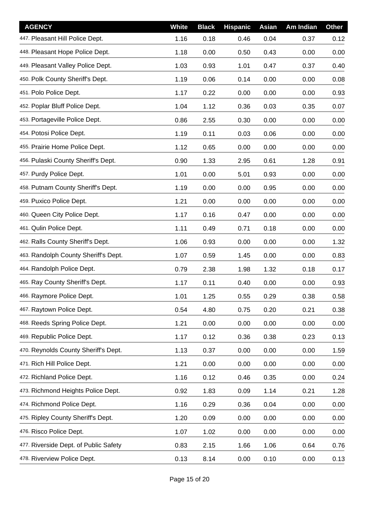| <b>AGENCY</b>                         | White | <b>Black</b> | <b>Hispanic</b> | <b>Asian</b> | Am Indian | <b>Other</b> |
|---------------------------------------|-------|--------------|-----------------|--------------|-----------|--------------|
| 447. Pleasant Hill Police Dept.       | 1.16  | 0.18         | 0.46            | 0.04         | 0.37      | 0.12         |
| 448. Pleasant Hope Police Dept.       | 1.18  | 0.00         | 0.50            | 0.43         | 0.00      | 0.00         |
| 449. Pleasant Valley Police Dept.     | 1.03  | 0.93         | 1.01            | 0.47         | 0.37      | 0.40         |
| 450. Polk County Sheriff's Dept.      | 1.19  | 0.06         | 0.14            | 0.00         | 0.00      | 0.08         |
| 451. Polo Police Dept.                | 1.17  | 0.22         | 0.00            | 0.00         | 0.00      | 0.93         |
| 452. Poplar Bluff Police Dept.        | 1.04  | 1.12         | 0.36            | 0.03         | 0.35      | 0.07         |
| 453. Portageville Police Dept.        | 0.86  | 2.55         | 0.30            | 0.00         | 0.00      | 0.00         |
| 454. Potosi Police Dept.              | 1.19  | 0.11         | 0.03            | 0.06         | 0.00      | 0.00         |
| 455. Prairie Home Police Dept.        | 1.12  | 0.65         | 0.00            | 0.00         | 0.00      | 0.00         |
| 456. Pulaski County Sheriff's Dept.   | 0.90  | 1.33         | 2.95            | 0.61         | 1.28      | 0.91         |
| 457. Purdy Police Dept.               | 1.01  | 0.00         | 5.01            | 0.93         | 0.00      | 0.00         |
| 458. Putnam County Sheriff's Dept.    | 1.19  | 0.00         | 0.00            | 0.95         | 0.00      | 0.00         |
| 459. Puxico Police Dept.              | 1.21  | 0.00         | 0.00            | 0.00         | 0.00      | 0.00         |
| 460. Queen City Police Dept.          | 1.17  | 0.16         | 0.47            | 0.00         | 0.00      | 0.00         |
| 461. Qulin Police Dept.               | 1.11  | 0.49         | 0.71            | 0.18         | 0.00      | 0.00         |
| 462. Ralls County Sheriff's Dept.     | 1.06  | 0.93         | 0.00            | 0.00         | 0.00      | 1.32         |
| 463. Randolph County Sheriff's Dept.  | 1.07  | 0.59         | 1.45            | 0.00         | 0.00      | 0.83         |
| 464. Randolph Police Dept.            | 0.79  | 2.38         | 1.98            | 1.32         | 0.18      | 0.17         |
| 465. Ray County Sheriff's Dept.       | 1.17  | 0.11         | 0.40            | 0.00         | 0.00      | 0.93         |
| 466. Raymore Police Dept.             | 1.01  | 1.25         | 0.55            | 0.29         | 0.38      | 0.58         |
| 467. Raytown Police Dept.             | 0.54  | 4.80         | 0.75            | 0.20         | 0.21      | 0.38         |
| 468. Reeds Spring Police Dept.        | 1.21  | 0.00         | 0.00            | 0.00         | 0.00      | 0.00         |
| 469. Republic Police Dept.            | 1.17  | 0.12         | 0.36            | 0.38         | 0.23      | 0.13         |
| 470. Reynolds County Sheriff's Dept.  | 1.13  | 0.37         | 0.00            | 0.00         | 0.00      | 1.59         |
| 471. Rich Hill Police Dept.           | 1.21  | 0.00         | 0.00            | 0.00         | 0.00      | 0.00         |
| 472. Richland Police Dept.            | 1.16  | 0.12         | 0.46            | 0.35         | 0.00      | 0.24         |
| 473. Richmond Heights Police Dept.    | 0.92  | 1.83         | 0.09            | 1.14         | 0.21      | 1.28         |
| 474. Richmond Police Dept.            | 1.16  | 0.29         | 0.36            | 0.04         | 0.00      | 0.00         |
| 475. Ripley County Sheriff's Dept.    | 1.20  | 0.09         | 0.00            | 0.00         | 0.00      | 0.00         |
| 476. Risco Police Dept.               | 1.07  | 1.02         | 0.00            | 0.00         | 0.00      | 0.00         |
| 477. Riverside Dept. of Public Safety | 0.83  | 2.15         | 1.66            | 1.06         | 0.64      | 0.76         |
| 478. Riverview Police Dept.           | 0.13  | 8.14         | 0.00            | 0.10         | 0.00      | 0.13         |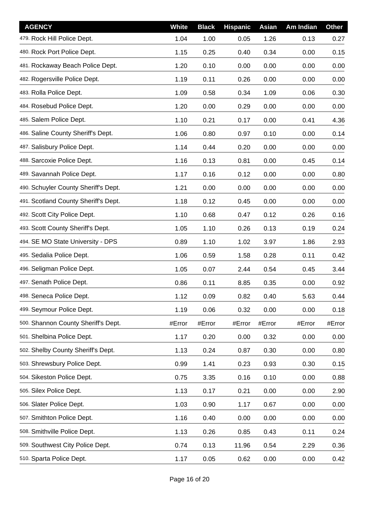| <b>AGENCY</b>                        | White  | <b>Black</b> | <b>Hispanic</b> | Asian  | Am Indian | <b>Other</b> |
|--------------------------------------|--------|--------------|-----------------|--------|-----------|--------------|
| 479. Rock Hill Police Dept.          | 1.04   | 1.00         | 0.05            | 1.26   | 0.13      | 0.27         |
| 480. Rock Port Police Dept.          | 1.15   | 0.25         | 0.40            | 0.34   | 0.00      | 0.15         |
| 481. Rockaway Beach Police Dept.     | 1.20   | 0.10         | 0.00            | 0.00   | 0.00      | 0.00         |
| 482. Rogersville Police Dept.        | 1.19   | 0.11         | 0.26            | 0.00   | 0.00      | 0.00         |
| 483. Rolla Police Dept.              | 1.09   | 0.58         | 0.34            | 1.09   | 0.06      | 0.30         |
| 484. Rosebud Police Dept.            | 1.20   | 0.00         | 0.29            | 0.00   | 0.00      | 0.00         |
| 485. Salem Police Dept.              | 1.10   | 0.21         | 0.17            | 0.00   | 0.41      | 4.36         |
| 486. Saline County Sheriff's Dept.   | 1.06   | 0.80         | 0.97            | 0.10   | 0.00      | 0.14         |
| 487. Salisbury Police Dept.          | 1.14   | 0.44         | 0.20            | 0.00   | 0.00      | 0.00         |
| 488. Sarcoxie Police Dept.           | 1.16   | 0.13         | 0.81            | 0.00   | 0.45      | 0.14         |
| 489. Savannah Police Dept.           | 1.17   | 0.16         | 0.12            | 0.00   | 0.00      | 0.80         |
| 490. Schuyler County Sheriff's Dept. | 1.21   | 0.00         | 0.00            | 0.00   | 0.00      | 0.00         |
| 491. Scotland County Sheriff's Dept. | 1.18   | 0.12         | 0.45            | 0.00   | 0.00      | 0.00         |
| 492. Scott City Police Dept.         | 1.10   | 0.68         | 0.47            | 0.12   | 0.26      | 0.16         |
| 493. Scott County Sheriff's Dept.    | 1.05   | 1.10         | 0.26            | 0.13   | 0.19      | 0.24         |
| 494. SE MO State University - DPS    | 0.89   | 1.10         | 1.02            | 3.97   | 1.86      | 2.93         |
| 495. Sedalia Police Dept.            | 1.06   | 0.59         | 1.58            | 0.28   | 0.11      | 0.42         |
| 496. Seligman Police Dept.           | 1.05   | 0.07         | 2.44            | 0.54   | 0.45      | 3.44         |
| 497. Senath Police Dept.             | 0.86   | 0.11         | 8.85            | 0.35   | 0.00      | 0.92         |
| 498. Seneca Police Dept.             | 1.12   | 0.09         | 0.82            | 0.40   | 5.63      | 0.44         |
| 499. Seymour Police Dept.            | 1.19   | 0.06         | 0.32            | 0.00   | 0.00      | 0.18         |
| 500. Shannon County Sheriff's Dept.  | #Error | #Error       | #Error          | #Error | #Error    | #Error       |
| 501. Shelbina Police Dept.           | 1.17   | 0.20         | 0.00            | 0.32   | 0.00      | 0.00         |
| 502. Shelby County Sheriff's Dept.   | 1.13   | 0.24         | 0.87            | 0.30   | 0.00      | 0.80         |
| 503. Shrewsbury Police Dept.         | 0.99   | 1.41         | 0.23            | 0.93   | 0.30      | 0.15         |
| 504. Sikeston Police Dept.           | 0.75   | 3.35         | 0.16            | 0.10   | 0.00      | 0.88         |
| 505. Silex Police Dept.              | 1.13   | 0.17         | 0.21            | 0.00   | 0.00      | 2.90         |
| 506. Slater Police Dept.             | 1.03   | 0.90         | 1.17            | 0.67   | 0.00      | 0.00         |
| 507. Smithton Police Dept.           | 1.16   | 0.40         | 0.00            | 0.00   | 0.00      | 0.00         |
| 508. Smithville Police Dept.         | 1.13   | 0.26         | 0.85            | 0.43   | 0.11      | 0.24         |
| 509. Southwest City Police Dept.     | 0.74   | 0.13         | 11.96           | 0.54   | 2.29      | 0.36         |
| 510. Sparta Police Dept.             | 1.17   | 0.05         | 0.62            | 0.00   | 0.00      | 0.42         |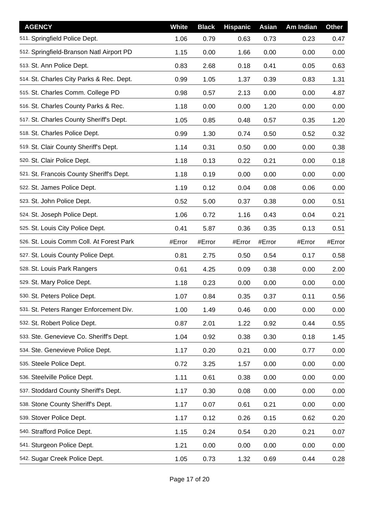| <b>AGENCY</b>                            | <b>White</b> | <b>Black</b> | <b>Hispanic</b> | Asian  | Am Indian | <b>Other</b> |
|------------------------------------------|--------------|--------------|-----------------|--------|-----------|--------------|
| 511. Springfield Police Dept.            | 1.06         | 0.79         | 0.63            | 0.73   | 0.23      | 0.47         |
| 512. Springfield-Branson Natl Airport PD | 1.15         | 0.00         | 1.66            | 0.00   | 0.00      | 0.00         |
| 513. St. Ann Police Dept.                | 0.83         | 2.68         | 0.18            | 0.41   | 0.05      | 0.63         |
| 514. St. Charles City Parks & Rec. Dept. | 0.99         | 1.05         | 1.37            | 0.39   | 0.83      | 1.31         |
| 515. St. Charles Comm. College PD        | 0.98         | 0.57         | 2.13            | 0.00   | 0.00      | 4.87         |
| 516. St. Charles County Parks & Rec.     | 1.18         | 0.00         | 0.00            | 1.20   | 0.00      | 0.00         |
| 517. St. Charles County Sheriff's Dept.  | 1.05         | 0.85         | 0.48            | 0.57   | 0.35      | 1.20         |
| 518. St. Charles Police Dept.            | 0.99         | 1.30         | 0.74            | 0.50   | 0.52      | 0.32         |
| 519. St. Clair County Sheriff's Dept.    | 1.14         | 0.31         | 0.50            | 0.00   | 0.00      | 0.38         |
| 520. St. Clair Police Dept.              | 1.18         | 0.13         | 0.22            | 0.21   | 0.00      | 0.18         |
| 521. St. Francois County Sheriff's Dept. | 1.18         | 0.19         | 0.00            | 0.00   | 0.00      | 0.00         |
| 522. St. James Police Dept.              | 1.19         | 0.12         | 0.04            | 0.08   | 0.06      | 0.00         |
| 523. St. John Police Dept.               | 0.52         | 5.00         | 0.37            | 0.38   | 0.00      | 0.51         |
| 524. St. Joseph Police Dept.             | 1.06         | 0.72         | 1.16            | 0.43   | 0.04      | 0.21         |
| 525. St. Louis City Police Dept.         | 0.41         | 5.87         | 0.36            | 0.35   | 0.13      | 0.51         |
| 526. St. Louis Comm Coll. At Forest Park | #Error       | #Error       | #Error          | #Error | #Error    | #Error       |
| 527. St. Louis County Police Dept.       | 0.81         | 2.75         | 0.50            | 0.54   | 0.17      | 0.58         |
| 528. St. Louis Park Rangers              | 0.61         | 4.25         | 0.09            | 0.38   | 0.00      | 2.00         |
| 529. St. Mary Police Dept.               | 1.18         | 0.23         | 0.00            | 0.00   | 0.00      | 0.00         |
| 530. St. Peters Police Dept.             | 1.07         | 0.84         | 0.35            | 0.37   | 0.11      | 0.56         |
| 531. St. Peters Ranger Enforcement Div.  | 1.00         | 1.49         | 0.46            | 0.00   | 0.00      | 0.00         |
| 532. St. Robert Police Dept.             | 0.87         | 2.01         | 1.22            | 0.92   | 0.44      | 0.55         |
| 533. Ste. Genevieve Co. Sheriff's Dept.  | 1.04         | 0.92         | 0.38            | 0.30   | 0.18      | 1.45         |
| 534. Ste. Genevieve Police Dept.         | 1.17         | 0.20         | 0.21            | 0.00   | 0.77      | 0.00         |
| 535. Steele Police Dept.                 | 0.72         | 3.25         | 1.57            | 0.00   | 0.00      | 0.00         |
| 536. Steelville Police Dept.             | 1.11         | 0.61         | 0.38            | 0.00   | 0.00      | 0.00         |
| 537. Stoddard County Sheriff's Dept.     | 1.17         | 0.30         | 0.08            | 0.00   | 0.00      | 0.00         |
| 538. Stone County Sheriff's Dept.        | 1.17         | 0.07         | 0.61            | 0.21   | 0.00      | 0.00         |
| 539. Stover Police Dept.                 | 1.17         | 0.12         | 0.26            | 0.15   | 0.62      | 0.20         |
| 540. Strafford Police Dept.              | 1.15         | 0.24         | 0.54            | 0.20   | 0.21      | 0.07         |
| 541. Sturgeon Police Dept.               | 1.21         | 0.00         | 0.00            | 0.00   | 0.00      | 0.00         |
| 542. Sugar Creek Police Dept.            | 1.05         | 0.73         | 1.32            | 0.69   | 0.44      | 0.28         |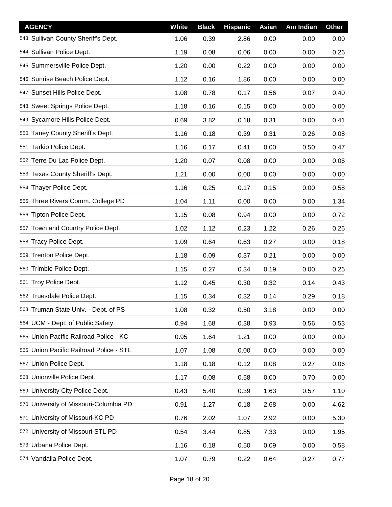| <b>AGENCY</b>                            | <b>White</b> | <b>Black</b> | <b>Hispanic</b> | Asian | Am Indian | <b>Other</b> |
|------------------------------------------|--------------|--------------|-----------------|-------|-----------|--------------|
| 543. Sullivan County Sheriff's Dept.     | 1.06         | 0.39         | 2.86            | 0.00  | 0.00      | 0.00         |
| 544. Sullivan Police Dept.               | 1.19         | 0.08         | 0.06            | 0.00  | 0.00      | 0.26         |
| 545. Summersville Police Dept.           | 1.20         | 0.00         | 0.22            | 0.00  | 0.00      | 0.00         |
| 546. Sunrise Beach Police Dept.          | 1.12         | 0.16         | 1.86            | 0.00  | 0.00      | 0.00         |
| 547. Sunset Hills Police Dept.           | 1.08         | 0.78         | 0.17            | 0.56  | 0.07      | 0.40         |
| 548. Sweet Springs Police Dept.          | 1.18         | 0.16         | 0.15            | 0.00  | 0.00      | 0.00         |
| 549. Sycamore Hills Police Dept.         | 0.69         | 3.82         | 0.18            | 0.31  | 0.00      | 0.41         |
| 550. Taney County Sheriff's Dept.        | 1.16         | 0.18         | 0.39            | 0.31  | 0.26      | 0.08         |
| 551. Tarkio Police Dept.                 | 1.16         | 0.17         | 0.41            | 0.00  | 0.50      | 0.47         |
| 552. Terre Du Lac Police Dept.           | 1.20         | 0.07         | 0.08            | 0.00  | 0.00      | 0.06         |
| 553. Texas County Sheriff's Dept.        | 1.21         | 0.00         | 0.00            | 0.00  | 0.00      | 0.00         |
| 554. Thayer Police Dept.                 | 1.16         | 0.25         | 0.17            | 0.15  | 0.00      | 0.58         |
| 555. Three Rivers Comm. College PD       | 1.04         | 1.11         | 0.00            | 0.00  | 0.00      | 1.34         |
| 556. Tipton Police Dept.                 | 1.15         | 0.08         | 0.94            | 0.00  | 0.00      | 0.72         |
| 557. Town and Country Police Dept.       | 1.02         | 1.12         | 0.23            | 1.22  | 0.26      | 0.26         |
| 558. Tracy Police Dept.                  | 1.09         | 0.64         | 0.63            | 0.27  | 0.00      | 0.18         |
| 559. Trenton Police Dept.                | 1.18         | 0.09         | 0.37            | 0.21  | 0.00      | 0.00         |
| 560. Trimble Police Dept.                | 1.15         | 0.27         | 0.34            | 0.19  | 0.00      | 0.26         |
| 561. Troy Police Dept.                   | 1.12         | 0.45         | 0.30            | 0.32  | 0.14      | 0.43         |
| 562. Truesdale Police Dept.              | 1.15         | 0.34         | 0.32            | 0.14  | 0.29      | 0.18         |
| 563. Truman State Univ. - Dept. of PS    | 1.08         | 0.32         | 0.50            | 3.18  | 0.00      | 0.00         |
| 564. UCM - Dept. of Public Safety        | 0.94         | 1.68         | 0.38            | 0.93  | 0.56      | 0.53         |
| 565. Union Pacific Railroad Police - KC  | 0.95         | 1.64         | 1.21            | 0.00  | 0.00      | 0.00         |
| 566. Union Pacific Railroad Police - STL | 1.07         | 1.08         | 0.00            | 0.00  | 0.00      | 0.00         |
| 567. Union Police Dept.                  | 1.18         | 0.18         | 0.12            | 0.08  | 0.27      | 0.06         |
| 568. Unionville Police Dept.             | 1.17         | 0.08         | 0.58            | 0.00  | 0.70      | 0.00         |
| 569. University City Police Dept.        | 0.43         | 5.40         | 0.39            | 1.63  | 0.57      | 1.10         |
| 570. University of Missouri-Columbia PD  | 0.91         | 1.27         | 0.18            | 2.68  | 0.00      | 4.62         |
| 571. University of Missouri-KC PD        | 0.76         | 2.02         | 1.07            | 2.92  | 0.00      | 5.30         |
| 572. University of Missouri-STL PD       | 0.54         | 3.44         | 0.85            | 7.33  | 0.00      | 1.95         |
| 573. Urbana Police Dept.                 | 1.16         | 0.18         | 0.50            | 0.09  | 0.00      | 0.58         |
| 574. Vandalia Police Dept.               | 1.07         | 0.79         | 0.22            | 0.64  | 0.27      | 0.77         |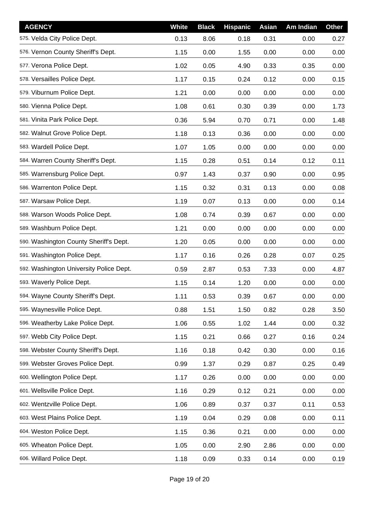| <b>AGENCY</b>                           | <b>White</b> | <b>Black</b> | <b>Hispanic</b> | Asian | Am Indian | <b>Other</b> |
|-----------------------------------------|--------------|--------------|-----------------|-------|-----------|--------------|
| 575. Velda City Police Dept.            | 0.13         | 8.06         | 0.18            | 0.31  | 0.00      | 0.27         |
| 576. Vernon County Sheriff's Dept.      | 1.15         | 0.00         | 1.55            | 0.00  | 0.00      | 0.00         |
| 577. Verona Police Dept.                | 1.02         | 0.05         | 4.90            | 0.33  | 0.35      | 0.00         |
| 578. Versailles Police Dept.            | 1.17         | 0.15         | 0.24            | 0.12  | 0.00      | 0.15         |
| 579. Viburnum Police Dept.              | 1.21         | 0.00         | 0.00            | 0.00  | 0.00      | 0.00         |
| 580. Vienna Police Dept.                | 1.08         | 0.61         | 0.30            | 0.39  | 0.00      | 1.73         |
| 581. Vinita Park Police Dept.           | 0.36         | 5.94         | 0.70            | 0.71  | 0.00      | 1.48         |
| 582. Walnut Grove Police Dept.          | 1.18         | 0.13         | 0.36            | 0.00  | 0.00      | 0.00         |
| 583. Wardell Police Dept.               | 1.07         | 1.05         | 0.00            | 0.00  | 0.00      | 0.00         |
| 584. Warren County Sheriff's Dept.      | 1.15         | 0.28         | 0.51            | 0.14  | 0.12      | 0.11         |
| 585. Warrensburg Police Dept.           | 0.97         | 1.43         | 0.37            | 0.90  | 0.00      | 0.95         |
| 586. Warrenton Police Dept.             | 1.15         | 0.32         | 0.31            | 0.13  | 0.00      | 0.08         |
| 587. Warsaw Police Dept.                | 1.19         | 0.07         | 0.13            | 0.00  | 0.00      | 0.14         |
| 588. Warson Woods Police Dept.          | 1.08         | 0.74         | 0.39            | 0.67  | 0.00      | 0.00         |
| 589. Washburn Police Dept.              | 1.21         | 0.00         | 0.00            | 0.00  | 0.00      | 0.00         |
| 590. Washington County Sheriff's Dept.  | 1.20         | 0.05         | 0.00            | 0.00  | 0.00      | 0.00         |
| 591. Washington Police Dept.            | 1.17         | 0.16         | 0.26            | 0.28  | 0.07      | 0.25         |
| 592. Washington University Police Dept. | 0.59         | 2.87         | 0.53            | 7.33  | 0.00      | 4.87         |
| 593. Waverly Police Dept.               | 1.15         | 0.14         | 1.20            | 0.00  | 0.00      | 0.00         |
| 594. Wayne County Sheriff's Dept.       | 1.11         | 0.53         | 0.39            | 0.67  | 0.00      | 0.00         |
| 595. Waynesville Police Dept.           | 0.88         | 1.51         | 1.50            | 0.82  | 0.28      | 3.50         |
| 596. Weatherby Lake Police Dept.        | 1.06         | 0.55         | 1.02            | 1.44  | 0.00      | 0.32         |
| 597. Webb City Police Dept.             | 1.15         | 0.21         | 0.66            | 0.27  | 0.16      | 0.24         |
| 598. Webster County Sheriff's Dept.     | 1.16         | 0.18         | 0.42            | 0.30  | 0.00      | 0.16         |
| 599. Webster Groves Police Dept.        | 0.99         | 1.37         | 0.29            | 0.87  | 0.25      | 0.49         |
| 600. Wellington Police Dept.            | 1.17         | 0.26         | 0.00            | 0.00  | 0.00      | 0.00         |
| 601. Wellsville Police Dept.            | 1.16         | 0.29         | 0.12            | 0.21  | 0.00      | 0.00         |
| 602. Wentzville Police Dept.            | 1.06         | 0.89         | 0.37            | 0.37  | 0.11      | 0.53         |
| 603. West Plains Police Dept.           | 1.19         | 0.04         | 0.29            | 0.08  | 0.00      | 0.11         |
| 604. Weston Police Dept.                | 1.15         | 0.36         | 0.21            | 0.00  | 0.00      | 0.00         |
| 605. Wheaton Police Dept.               | 1.05         | 0.00         | 2.90            | 2.86  | 0.00      | 0.00         |
| 606. Willard Police Dept.               | 1.18         | 0.09         | 0.33            | 0.14  | 0.00      | 0.19         |